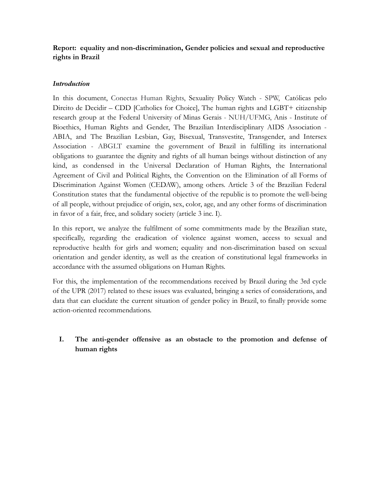# **Report: equality and non-discrimination, Gender policies and sexual and reproductive rights in Brazil**

### *Introduction*

In this document, Conectas Human Rights, Sexuality Policy Watch - SPW, Católicas pelo Direito de Decidir – CDD [Catholics for Choice], The human rights and LGBT+ citizenship research group at the Federal University of Minas Gerais - NUH/UFMG, Anis - Institute of Bioethics, Human Rights and Gender, The Brazilian Interdisciplinary AIDS Association - ABIA, and The Brazilian Lesbian, Gay, Bisexual, Transvestite, Transgender, and Intersex Association - ABGLT examine the government of Brazil in fulfilling its international obligations to guarantee the dignity and rights of all human beings without distinction of any kind, as condensed in the Universal Declaration of Human Rights, the International Agreement of Civil and Political Rights, the Convention on the Elimination of all Forms of Discrimination Against Women (CEDAW), among others. Article 3 of the Brazilian Federal Constitution states that the fundamental objective of the republic is to promote the well-being of all people, without prejudice of origin, sex, color, age, and any other forms of discrimination in favor of a fair, free, and solidary society (article 3 inc. I).

In this report, we analyze the fulfilment of some commitments made by the Brazilian state, specifically, regarding the eradication of violence against women, access to sexual and reproductive health for girls and women; equality and non-discrimination based on sexual orientation and gender identity, as well as the creation of constitutional legal frameworks in accordance with the assumed obligations on Human Rights.

For this, the implementation of the recommendations received by Brazil during the 3rd cycle of the UPR (2017) related to these issues was evaluated, bringing a series of considerations, and data that can elucidate the current situation of gender policy in Brazil, to finally provide some action-oriented recommendations.

# **I. The anti-gender offensive as an obstacle to the promotion and defense of human rights**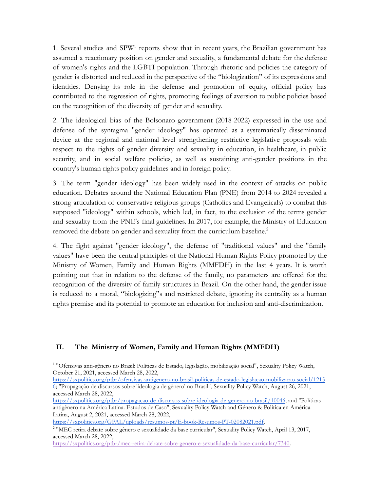1. Several studies and SPW<sup>1</sup> reports show that in recent years, the Brazilian government has assumed a reactionary position on gender and sexuality, a fundamental debate for the defense of women's rights and the LGBTI population. Through rhetoric and policies the category of gender is distorted and reduced in the perspective of the "biologization" of its expressions and identities. Denying its role in the defense and promotion of equity, official policy has contributed to the regression of rights, promoting feelings of aversion to public policies based on the recognition of the diversity of gender and sexuality.

2. The ideological bias of the Bolsonaro government (2018-2022) expressed in the use and defense of the syntagma "gender ideology" has operated as a systematically disseminated device at the regional and national level strengthening restrictive legislative proposals with respect to the rights of gender diversity and sexuality in education, in healthcare, in public security, and in social welfare policies, as well as sustaining anti-gender positions in the country's human rights policy guidelines and in foreign policy.

3. The term "gender ideology" has been widely used in the context of attacks on public education. Debates around the National Education Plan (PNE) from 2014 to 2024 revealed a strong articulation of conservative religious groups (Catholics and Evangelicals) to combat this supposed "ideology" within schools, which led, in fact, to the exclusion of the terms gender and sexuality from the PNE's final guidelines. In 2017, for example, the Ministry of Education removed the debate on gender and sexuality from the curriculum baseline.<sup>2</sup>

4. The fight against "gender ideology", the defense of "traditional values" and the "family values" have been the central principles of the National Human Rights Policy promoted by the Ministry of Women, Family and Human Rights (MMFDH) in the last 4 years. It is worth pointing out that in relation to the defense of the family, no parameters are offered for the recognition of the diversity of family structures in Brazil. On the other hand, the gender issue is reduced to a moral, "biologizing"s and restricted debate, ignoring its centrality as a human rights premise and its potential to promote an education for inclusion and anti-discrimination.

### **II. The Ministry of Women, Family and Human Rights (MMFDH)**

[https://sxpolitics.org/ptbr/ofensivas-antigenero-no-brasil-politicas-de-estado-legislacao-mobilizacao-social/1215](https://sxpolitics.org/ptbr/ofensivas-antigenero-no-brasil-politicas-de-estado-legislacao-mobilizacao-social/12156) [6;](https://sxpolitics.org/ptbr/ofensivas-antigenero-no-brasil-politicas-de-estado-legislacao-mobilizacao-social/12156) "Propagação de discurs[o](https://sxpolitics.org/ptbr/propagacao-de-discursos-sobre-ideologia-de-genero-no-brasil/10046)s sobre 'ideologia de gênero' no Brasil", Sexuality Policy Watch, August 26, 2021, accessed March 28, 2022,

<https://sxpolitics.org/GPAL/uploads/resumos-pt/E-book-Resumos-PT-02082021.pdf>.

<sup>1</sup> "Ofensivas anti-gênero no Brasil: Políticas de Estado, legislação, mobilização social", Sexuality Policy Watch, October 21, 2021, accessed March 28, 2022,

[https://sxpolitics.org/ptbr/propagacao-de-discursos-sobre-ideologia-de-genero-no-brasil/10046;](https://sxpolitics.org/ptbr/propagacao-de-discursos-sobre-ideologia-de-genero-no-brasil/10046) and "Políticas antigênero na América Latina. Estudos de Caso", Sexuality Policy Watch and Género & Política en América Latina, August 2, 2021, accessed March 28, 2022[,](https://sxpolitics.org/GPAL/uploads/resumos-pt/E-book-Resumos-PT-02082021.pdf)

<sup>2</sup> "MEC retira debate sobre gênero e sexualidade da base curricular", Sexuality Policy Watch, April 13, 2017, accessed March 28, 2022,

[https://sxpolitics.org/ptbr/mec-retira-debate-sobre-genero-e-sexualidade-da-base-curricular/7340.](https://sxpolitics.org/ptbr/mec-retira-debate-sobre-genero-e-sexualidade-da-base-curricular/7340)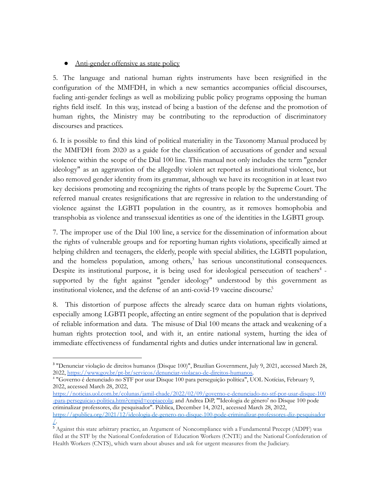## • Anti-gender offensive as state policy

5. The language and national human rights instruments have been resignified in the configuration of the MMFDH, in which a new semantics accompanies official discourses, fueling anti-gender feelings as well as mobilizing public policy programs opposing the human rights field itself. In this way, instead of being a bastion of the defense and the promotion of human rights, the Ministry may be contributing to the reproduction of discriminatory discourses and practices.

6. It is possible to find this kind of political materiality in the Taxonomy Manual produced by the MMFDH from 2020 as a guide for the classification of accusations of gender and sexual violence within the scope of the Dial 100 line. This manual not only includes the term "gender ideology" as an aggravation of the allegedly violent act reported as institutional violence, but also removed gender identity from its grammar, although we have its recognition in at least two key decisions promoting and recognizing the rights of trans people by the Supreme Court. The referred manual creates resignifications that are regressive in relation to the understanding of violence against the LGBTI population in the country, as it removes homophobia and transphobia as violence and transsexual identities as one of the identities in the LGBTI group.

7. The improper use of the Dial 100 line, a service for the dissemination of information about the rights of vulnerable groups and for reporting human rights violations, specifically aimed at helping children and teenagers, the elderly, people with special abilities, the LGBTI population, and the homeless population, among others, <sup>3</sup> has serious unconstitutional consequences. Despite its institutional purpose, it is being used for ideological persecution of teachers<sup>4</sup> supported by the fight against "gender ideology" understood by this government as institutional violence, and the defense of an anti-covid-19 vaccine discourse. 5

8. This distortion of purpose affects the already scarce data on human rights violations, especially among LGBTI people, affecting an entire segment of the population that is deprived of reliable information and data. The misuse of Dial 100 means the attack and weakening of a human rights protection tool, and with it, an entire national system, hurting the idea of immediate effectiveness of fundamental rights and duties under international law in general.

<sup>4</sup> "Governo é denunciado no STF por usar Disque 100 para perseguição política", UOL Notícias, February 9, 2022, accessed March 28, 2022,

<sup>3</sup> "Denunciar violação de direitos humanos (Disque 100)", Brazilian Government, July 9, 2021, accessed March 28, 2022, [https://www.gov.br/pt-br/servicos/denunciar-violacao-de-direitos-humanos.](https://www.gov.br/pt-br/servicos/denunciar-violacao-de-direitos-humanos)

[https://noticias.uol.com.br/colunas/jamil-chade/2022/02/09/governo-e-denunciado-no-stf-por-usar-disque-100](https://noticias.uol.com.br/colunas/jamil-chade/2022/02/09/governo-e-denunciado-no-stf-por-usar-disque-100-para-perseguicao-politica.htm?cmpid=copiaecola) [-para-perseguicao-politica.htm?cmpid=copiaecola;](https://noticias.uol.com.br/colunas/jamil-chade/2022/02/09/governo-e-denunciado-no-stf-por-usar-disque-100-para-perseguicao-politica.htm?cmpid=copiaecola) and Andrea DiP, "'Ideologia de gênero' no Disque 100 pode criminalizar professores, diz pesquisador". Pública, December 14, 2021, accessed March 28, 2022, [https://apublica.org/2021/12/ideologia-de-genero-no-disque-100-pode-criminalizar-professores-diz-pesquisador](https://apublica.org/2021/12/ideologia-de-genero-no-disque-100-pode-criminalizar-professores-diz-pesquisador/) [/](https://apublica.org/2021/12/ideologia-de-genero-no-disque-100-pode-criminalizar-professores-diz-pesquisador/).

<sup>&</sup>lt;sup>5</sup> Against this state arbitrary practice, an Argument of Noncompliance with a Fundamental Precept (ADPF) was filed at the STF by the National Confederation of Education Workers (CNTE) and the National Confederation of Health Workers (CNTS), which warn about abuses and ask for urgent measures from the Judiciary.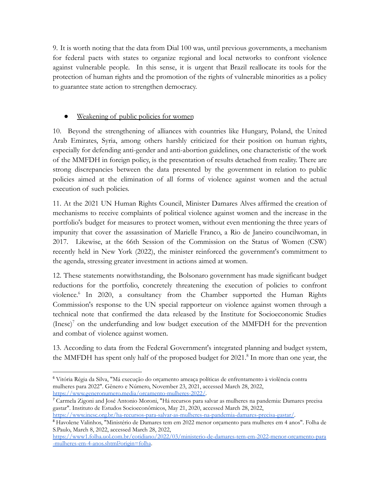9. It is worth noting that the data from Dial 100 was, until previous governments, a mechanism for federal pacts with states to organize regional and local networks to confront violence against vulnerable people. In this sense, it is urgent that Brazil reallocate its tools for the protection of human rights and the promotion of the rights of vulnerable minorities as a policy to guarantee state action to strengthen democracy.

# Weakening of public policies for women

10. Beyond the strengthening of alliances with countries like Hungary, Poland, the United Arab Emirates, Syria, among others harshly criticized for their position on human rights, especially for defending anti-gender and anti-abortion guidelines, one characteristic of the work of the MMFDH in foreign policy, is the presentation of results detached from reality. There are strong discrepancies between the data presented by the government in relation to public policies aimed at the elimination of all forms of violence against women and the actual execution of such policies.

11. At the 2021 UN Human Rights Council, Minister Damares Alves affirmed the creation of mechanisms to receive complaints of political violence against women and the increase in the portfolio's budget for measures to protect women, without even mentioning the three years of impunity that cover the assassination of Marielle Franco, a Rio de Janeiro councilwoman, in 2017. Likewise, at the 66th Session of the Commission on the Status of Women (CSW) recently held in New York (2022), the minister reinforced the government's commitment to the agenda, stressing greater investment in actions aimed at women.

12. These statements notwithstanding, the Bolsonaro government has made significant budget reductions for the portfolio, concretely threatening the execution of policies to confront violence. 6 In 2020, a consultancy from the Chamber supported the Human Rights Commission's response to the UN special rapporteur on violence against women through a technical note that confirmed the data released by the Institute for Socioeconomic Studies  $(Inesc)<sup>7</sup>$  on the underfunding and low budget execution of the MMFDH for the prevention and combat of violence against women.

13. According to data from the Federal Government's integrated planning and budget system, the MMFDH has spent only half of the proposed budget for 2021.<sup>8</sup> In more than one year, the

<sup>6</sup> Vitória Régia da Silva, "Má execução do orçamento ameaça políticas de enfrentamento à violência contra mulheres para 2022". Gênero e Número, November 23, 2021, accessed March 28, 2022, <https://www.generonumero.media/orcamento-mulheres-2022/>.

<sup>7</sup> Carmela Zigoni and José Antonio Moroni, "Há recursos para salvar as mulheres na pandemia: Damares precisa gastar". Instituto de Estudos Socioeconômicos, May 21, 2020, accessed March 28, 2022, <https://www.inesc.org.br/ha-recursos-para-salvar-as-mulheres-na-pandemia-damares-precisa-gastar/>.

<sup>8</sup> Havolene Valinhos, "Ministério de Damares tem em 2022 menor orçamento para mulheres em 4 anos". Folha de S.Paulo, March 8, 2022, accessed March 28, 2022,

[https://www1.folha.uol.com.br/cotidiano/2022/03/ministerio-de-damares-tem-em-2022-menor-orcamento-para](https://www1.folha.uol.com.br/cotidiano/2022/03/ministerio-de-damares-tem-em-2022-menor-orcamento-para-mulheres-em-4-anos.shtml?origin=folha) [-mulheres-em-4-anos.shtml?origin=folha](https://www1.folha.uol.com.br/cotidiano/2022/03/ministerio-de-damares-tem-em-2022-menor-orcamento-para-mulheres-em-4-anos.shtml?origin=folha).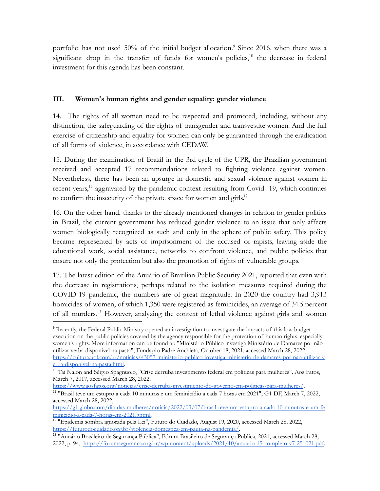portfolio has not used  $50\%$  of the initial budget allocation.<sup>9</sup> Since 2016, when there was a significant drop in the transfer of funds for women's policies,<sup>10</sup> the decrease in federal investment for this agenda has been constant.

## **III. Women's human rights and gender equality: gender violence**

14. The rights of all women need to be respected and promoted, including, without any distinction, the safeguarding of the rights of transgender and transvestite women. And the full exercise of citizenship and equality for women can only be guaranteed through the eradication of all forms of violence, in accordance with CEDAW.

15. During the examination of Brazil in the 3rd cycle of the UPR, the Brazilian government received and accepted 17 recommendations related to fighting violence against women. Nevertheless, there has been an upsurge in domestic and sexual violence against women in recent years,<sup>11</sup> aggravated by the pandemic context resulting from Covid- 19, which continues to confirm the insecurity of the private space for women and girls.<sup>12</sup>

16. On the other hand, thanks to the already mentioned changes in relation to gender politics in Brazil, the current government has reduced gender violence to an issue that only affects women biologically recognized as such and only in the sphere of public safety. This policy became represented by acts of imprisonment of the accused or rapists, leaving aside the educational work, social assistance, networks to confront violence, and public policies that ensure not only the protection but also the promotion of rights of vulnerable groups.

17. The latest edition of the Anuário of Brazilian Public Security 2021, reported that even with the decrease in registrations, perhaps related to the isolation measures required during the COVID-19 pandemic, the numbers are of great magnitude. In 2020 the country had 3,913 homicides of women, of which 1,350 were registered as feminicides, an average of 34.5 percent of all murders. <sup>13</sup> However, analyzing the context of lethal violence against girls and women

<https://www.aosfatos.org/noticias/crise-derruba-investimento-do-governo-em-politicas-para-mulheres/>.

<sup>11</sup> "Brasil teve um estupro a cada 10 minutos e um feminicídio a cada 7 horas em 2021", G1 DF, March 7, 2022, accessed March 28, 2022,

<sup>9</sup> Recently, the Federal Public Ministry opened an investigation to investigate the impacts of this low budget execution on the public policies covered by the agency responsible for the protection of human rights, especially women's rights. More information can be found at: "Ministério Público investiga Ministério de Damares por não utilizar verba disponível na pasta", Fundação Padre Anchieta, October 18, 2021, accessed March 28, 2022, [https://cultura.uol.com.br/noticias/43057\\_ministerio-publico-investiga-ministerio-de-damares-por-nao-utilizar-v](https://cultura.uol.com.br/noticias/43057_ministerio-publico-investiga-ministerio-de-damares-por-nao-utilizar-verba-disponivel-na-pasta.html) [erba-disponivel-na-pasta.html.](https://cultura.uol.com.br/noticias/43057_ministerio-publico-investiga-ministerio-de-damares-por-nao-utilizar-verba-disponivel-na-pasta.html)

<sup>&</sup>lt;sup>10</sup> Tai Nalon and Sérgio Spagnuolo, "Crise derruba investimento federal em políticas para mulheres". Aos Fatos, March 7, 2017, accessed March 28, 2022,

[https://g1.globo.com/dia-das-mulheres/noticia/2022/03/07/brasil-teve-um-estupro-a-cada-10-minutos-e-um-fe](https://g1.globo.com/dia-das-mulheres/noticia/2022/03/07/brasil-teve-um-estupro-a-cada-10-minutos-e-um-feminicidio-a-cada-7-horas-em-2021.ghtml) [minicidio-a-cada-7-horas-em-2021.ghtml.](https://g1.globo.com/dia-das-mulheres/noticia/2022/03/07/brasil-teve-um-estupro-a-cada-10-minutos-e-um-feminicidio-a-cada-7-horas-em-2021.ghtml)

<sup>12</sup> "Epidemia sombra ignorada pela Lei", Futuro do Cuidado, August 19, 2020, accessed March 28, 2022, <https://futurodocuidado.org.br/violencia-domestica-em-pauta-na-pandemia/>.

<sup>13</sup> "Anuário Brasileiro de Segurança Pública", Fórum Brasileiro de Segurança Pública, 2021, accessed March 28, 2022, p. 94, <https://forumseguranca.org.br/wp-content/uploads/2021/10/anuario-15-completo-v7-251021.pdf>.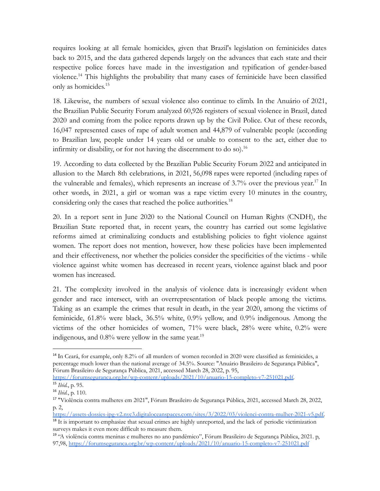requires looking at all female homicides, given that Brazil's legislation on feminicides dates back to 2015, and the data gathered depends largely on the advances that each state and their respective police forces have made in the investigation and typification of gender-based violence.<sup>14</sup> This highlights the probability that many cases of feminicide have been classified only as homicides. 15

18. Likewise, the numbers of sexual violence also continue to climb. In the Anuário of 2021, the Brazilian Public Security Forum analyzed 60,926 registers of sexual violence in Brazil, dated 2020 and coming from the police reports drawn up by the Civil Police. Out of these records, 16,047 represented cases of rape of adult women and 44,879 of vulnerable people (according to Brazilian law, people under 14 years old or unable to consent to the act, either due to infirmity or disability, or for not having the discernment to do so).<sup>16</sup>

19. According to data collected by the Brazilian Public Security Forum 2022 and anticipated in allusion to the March 8th celebrations, in 2021, 56,098 rapes were reported (including rapes of the vulnerable and females), which represents an increase of 3.7% over the previous year.<sup>17</sup> In other words, in 2021, a girl or woman was a rape victim every 10 minutes in the country, considering only the cases that reached the police authorities. 18

20. In a report sent in June 2020 to the National Council on Human Rights (CNDH), the Brazilian State reported that, in recent years, the country has carried out some legislative reforms aimed at criminalizing conducts and establishing policies to fight violence against women. The report does not mention, however, how these policies have been implemented and their effectiveness, nor whether the policies consider the specificities of the victims - while violence against white women has decreased in recent years, violence against black and poor women has increased.

21. The complexity involved in the analysis of violence data is increasingly evident when gender and race intersect, with an overrepresentation of black people among the victims. Taking as an example the crimes that result in death, in the year 2020, among the victims of feminicide, 61.8% were black, 36.5% white, 0.9% yellow, and 0.9% indigenous. Among the victims of the other homicides of women, 71% were black, 28% were white, 0.2% were indigenous, and 0.8% were yellow in the same year.<sup>19</sup>

[https://assets-dossies-ipg-v2.nyc3.digitaloceanspaces.com/sites/3/2022/03/violenci-contra-mulher-2021-v5.pdf.](https://assets-dossies-ipg-v2.nyc3.digitaloceanspaces.com/sites/3/2022/03/violenci-contra-mulher-2021-v5.pdf)

<sup>18</sup> It is important to emphasize that sexual crimes are highly unreported, and the lack of periodic victimization surveys makes it even more difficult to measure them.

<sup>&</sup>lt;sup>14</sup> In Ceará, for example, only 8.2% of all murders of women recorded in 2020 were classified as feminicides, a percentage much lower than the national average of 34.5%. Source: "Anuário Brasileiro de Segurança Pública", Fórum Brasileiro de Segurança Pública, 2021, accessed March 28, 2022, p. 95,

<sup>15</sup> *Ibid.*, p. 95. [https://forumseguranca.org.br/wp-content/uploads/2021/10/anuario-15-completo-v7-251021.pdf.](https://forumseguranca.org.br/wp-content/uploads/2021/10/anuario-15-completo-v7-251021.pdf)

<sup>16</sup> *Ibid.*, p. 110.

<sup>17</sup> "Violência contra mulheres em 2021", Fórum Brasileiro de Segurança Pública, 2021, accessed March 28, 2022, p. 2,

<sup>19</sup> "A violência contra meninas e mulheres no ano pandêmico", Fórum Brasileiro de Segurança Pública, 2021. p, 97,98, <https://forumseguranca.org.br/wp-content/uploads/2021/10/anuario-15-completo-v7-251021.pdf>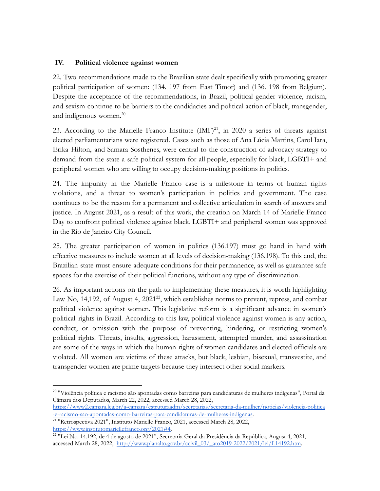### **IV. Political violence against women**

22. Two recommendations made to the Brazilian state dealt specifically with promoting greater political participation of women: (134. 197 from East Timor) and (136. 198 from Belgium). Despite the acceptance of the recommendations, in Brazil, political gender violence, racism, and sexism continue to be barriers to the candidacies and political action of black, transgender, and indigenous women.<sup>20</sup>

23. According to the Marielle Franco Institute  $(MF)^{21}$ , in 2020 a series of threats against elected parliamentarians were registered. Cases such as those of Ana Lúcia Martins, Carol Iara, Erika Hilton, and Samara Sosthenes, were central to the construction of advocacy strategy to demand from the state a safe political system for all people, especially for black, LGBTI+ and peripheral women who are willing to occupy decision-making positions in politics.

24. The impunity in the Marielle Franco case is a milestone in terms of human rights violations, and a threat to women's participation in politics and government. The case continues to be the reason for a permanent and collective articulation in search of answers and justice. In August 2021, as a result of this work, the creation on March 14 of Marielle Franco Day to confront political violence against black, LGBTI+ and peripheral women was approved in the Rio de Janeiro City Council.

25. The greater participation of women in politics (136.197) must go hand in hand with effective measures to include women at all levels of decision-making (136.198). To this end, the Brazilian state must ensure adequate conditions for their permanence, as well as guarantee safe spaces for the exercise of their political functions, without any type of discrimination.

26. As important actions on the path to implementing these measures, it is worth highlighting Law No, 14,192, of August 4,  $2021^{22}$ , which establishes norms to prevent, repress, and combat political violence against women. This legislative reform is a significant advance in women's political rights in Brazil. According to this law, political violence against women is any action, conduct, or omission with the purpose of preventing, hindering, or restricting women's political rights. Threats, insults, aggression, harassment, attempted murder, and assassination are some of the ways in which the human rights of women candidates and elected officials are violated. All women are victims of these attacks, but black, lesbian, bisexual, transvestite, and transgender women are prime targets because they intersect other social markers.

<sup>20</sup> "Violência política e racismo são apontadas como barreiras para candidaturas de mulheres indígenas", Portal da Câmara dos Deputados, March 22, 2022, accessed March 28, 2022,

[https://www2.camara.leg.br/a-camara/estruturaadm/secretarias/secretaria-da-mulher/noticias/violencia-politica](https://www2.camara.leg.br/a-camara/estruturaadm/secretarias/secretaria-da-mulher/noticias/violencia-politica-e-racismo-sao-apontadas-como-barreiras-para-candidaturas-de-mulheres-indigenas) [-e-racismo-sao-apontadas-como-barreiras-para-candidaturas-de-mulheres-indigenas](https://www2.camara.leg.br/a-camara/estruturaadm/secretarias/secretaria-da-mulher/noticias/violencia-politica-e-racismo-sao-apontadas-como-barreiras-para-candidaturas-de-mulheres-indigenas).

<sup>21</sup> "Retrospectiva 2021", Instituto Marielle Franco, 2021, accessed March 28, 2022, [https://www.institutomariellefranco.org/2021#4.](https://www.institutomariellefranco.org/2021#4)

<sup>22</sup> "Lei No. 14.192, de 4 de agosto de 2021", Secretaria Geral da Presidência da República, August 4, 2021, accessed March 28, 2022, [http://www.planalto.gov.br/ccivil\\_03/\\_ato2019-2022/2021/lei/L14192.htm.](http://www.planalto.gov.br/ccivil_03/_ato2019-2022/2021/lei/L14192.htm)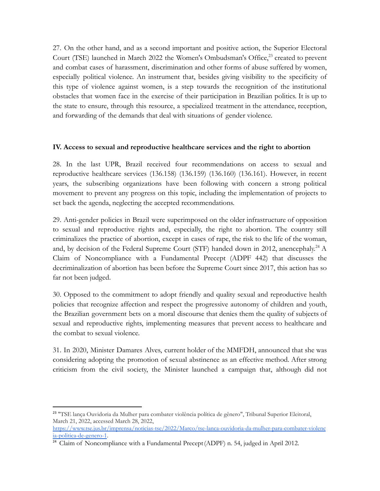27. On the other hand, and as a second important and positive action, the Superior Electoral Court (TSE) launched in March 2022 the Women's Ombudsman's Office, <sup>23</sup> created to prevent and combat cases of harassment, discrimination and other forms of abuse suffered by women, especially political violence. An instrument that, besides giving visibility to the specificity of this type of violence against women, is a step towards the recognition of the institutional obstacles that women face in the exercise of their participation in Brazilian politics. It is up to the state to ensure, through this resource, a specialized treatment in the attendance, reception, and forwarding of the demands that deal with situations of gender violence.

#### **IV. Access to sexual and reproductive healthcare services and the right to abortion**

28. In the last UPR, Brazil received four recommendations on access to sexual and reproductive healthcare services (136.158) (136.159) (136.160) (136.161). However, in recent years, the subscribing organizations have been following with concern a strong political movement to prevent any progress on this topic, including the implementation of projects to set back the agenda, neglecting the accepted recommendations.

29. Anti-gender policies in Brazil were superimposed on the older infrastructure of opposition to sexual and reproductive rights and, especially, the right to abortion. The country still criminalizes the practice of abortion, except in cases of rape, the risk to the life of the woman, and, by decision of the Federal Supreme Court (STF) handed down in 2012, anencephaly. <sup>24</sup> A Claim of Noncompliance with a Fundamental Precept (ADPF 442) that discusses the decriminalization of abortion has been before the Supreme Court since 2017, this action has so far not been judged.

30. Opposed to the commitment to adopt friendly and quality sexual and reproductive health policies that recognize affection and respect the progressive autonomy of children and youth, the Brazilian government bets on a moral discourse that denies them the quality of subjects of sexual and reproductive rights, implementing measures that prevent access to healthcare and the combat to sexual violence.

31. In 2020, Minister Damares Alves, current holder of the MMFDH, announced that she was considering adopting the promotion of sexual abstinence as an effective method. After strong criticism from the civil society, the Minister launched a campaign that, although did not

<sup>23</sup> "TSE lança Ouvidoria da Mulher para combater violência política de gênero", Tribunal Superior Eleitoral, March 21, 2022, accessed March 28, 2022,

[https://www.tse.jus.br/imprensa/noticias-tse/2022/Marco/tse-lanca-ouvidoria-da-mulher-para-combater-violenc](https://www.tse.jus.br/imprensa/noticias-tse/2022/Marco/tse-lanca-ouvidoria-da-mulher-para-combater-violencia-politica-de-genero-1) [ia-politica-de-genero-1](https://www.tse.jus.br/imprensa/noticias-tse/2022/Marco/tse-lanca-ouvidoria-da-mulher-para-combater-violencia-politica-de-genero-1).

<sup>&</sup>lt;sup>24</sup> Claim of Noncompliance with a Fundamental Precept (ADPF) n. 54, judged in April 2012.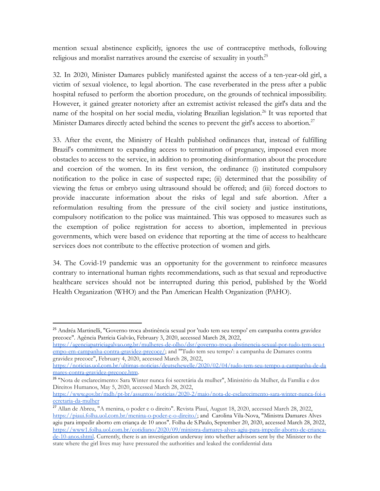mention sexual abstinence explicitly, ignores the use of contraceptive methods, following religious and moralist narratives around the exercise of sexuality in youth.<sup>25</sup>

32. In 2020, Minister Damares publicly manifested against the access of a ten-year-old girl, a victim of sexual violence, to legal abortion. The case reverberated in the press after a public hospital refused to perform the abortion procedure, on the grounds of technical impossibility. However, it gained greater notoriety after an extremist activist released the girl's data and the name of the hospital on her social media, violating Brazilian legislation.<sup>26</sup> It was reported that Minister Damares directly acted behind the scenes to prevent the girl's access to abortion.<sup>27</sup>

33. After the event, the Ministry of Health published ordinances that, instead of fulfilling Brazil's commitment to expanding access to termination of pregnancy, imposed even more obstacles to access to the service, in addition to promoting disinformation about the procedure and coercion of the women. In its first version, the ordinance (i) instituted compulsory notification to the police in case of suspected rape; (ii) determined that the possibility of viewing the fetus or embryo using ultrasound should be offered; and (iii) forced doctors to provide inaccurate information about the risks of legal and safe abortion. After a reformulation resulting from the pressure of the civil society and justice institutions, compulsory notification to the police was maintained. This was opposed to measures such as the exemption of police registration for access to abortion, implemented in previous governments, which were based on evidence that reporting at the time of access to healthcare services does not contribute to the effective protection of women and girls.

34. The Covid-19 pandemic was an opportunity for the government to reinforce measures contrary to international human rights recommendations, such as that sexual and reproductive healthcare services should not be interrupted during this period, published by the World Health Organization (WHO) and the Pan American Health Organization (PAHO).

[https://agenciapatriciagalvao.org.br/mulheres-de-olho/dsr/governo-troca-abstinencia-sexual-por-tudo-tem-seu-t](https://agenciapatriciagalvao.org.br/mulheres-de-olho/dsr/governo-troca-abstinencia-sexual-por-tudo-tem-seu-tempo-em-campanha-contra-gravidez-precoce/) [empo-em-campanha-contra-gravidez-precoce/](https://agenciapatriciagalvao.org.br/mulheres-de-olho/dsr/governo-troca-abstinencia-sexual-por-tudo-tem-seu-tempo-em-campanha-contra-gravidez-precoce/); and "'Tudo tem seu tempo': a campanha de Damares contra gravidez precoce", February 4, 2020, accessed March 28, 2022,

<sup>25</sup> Andréa Martinelli, "Governo troca abstinência sexual por 'tudo tem seu tempo' em campanha contra gravidez precoce". Agência Patrícia Galvão, February 3, 2020, accessed March 28, 2022,

[https://noticias.uol.com.br/ultimas-noticias/deutschewelle/2020/02/04/tudo-tem-seu-tempo-a-campanha-de-da](https://noticias.uol.com.br/ultimas-noticias/deutschewelle/2020/02/04/tudo-tem-seu-tempo-a-campanha-de-damares-contra-gravidez-precoce.htm) [mares-contra-gravidez-precoce.htm](https://noticias.uol.com.br/ultimas-noticias/deutschewelle/2020/02/04/tudo-tem-seu-tempo-a-campanha-de-damares-contra-gravidez-precoce.htm).

<sup>26</sup> "Nota de esclarecimento: Sara Winter nunca foi secretária da mulher", Ministério da Mulher, da Família e dos Direitos Humanos, May 5, 2020, accessed March 28, 2022,

[https://www.gov.br/mdh/pt-br/assuntos/noticias/2020-2/maio/nota-de-esclarecimento-sara-winter-nunca-foi-s](https://www.gov.br/mdh/pt-br/assuntos/noticias/2020-2/maio/nota-de-esclarecimento-sara-winter-nunca-foi-secretaria-da-mulher) [ecretaria-da-mulher](https://www.gov.br/mdh/pt-br/assuntos/noticias/2020-2/maio/nota-de-esclarecimento-sara-winter-nunca-foi-secretaria-da-mulher)

<sup>27</sup> Allan de Abreu, "A menina, o poder e o direito". Revista Piauí, August 18, 2020, accessed March 28, 2022, [https://piaui.folha.uol.com.br/menina-o-poder-e-o-direito/;](https://piaui.folha.uol.com.br/menina-o-poder-e-o-direito/) and Carolina Vila-Nova, "Ministra Damares Alves agiu para impedir aborto em criança de 10 anos". Folha de S.Paulo, September 20, 2020, accessed March 28, 2022, [https://www1.folha.uol.com.br/cotidiano/2020/09/ministra-damares-alves-agiu-para-impedir-aborto-de-crianca](https://www1.folha.uol.com.br/cotidiano/2020/09/ministra-damares-alves-agiu-para-impedir-aborto-de-crianca-de-10-anos.shtml)[de-10-anos.shtml](https://www1.folha.uol.com.br/cotidiano/2020/09/ministra-damares-alves-agiu-para-impedir-aborto-de-crianca-de-10-anos.shtml). Currently, there is an investigation underway into whether advisors sent by the Minister to the state where the girl lives may have pressured the authorities and leaked the confidential data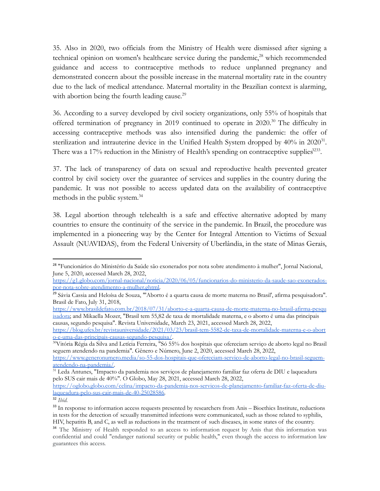35. Also in 2020, two officials from the Ministry of Health were dismissed after signing a technical opinion on women's healthcare service during the pandemic,<sup>28</sup> which recommended guidance and access to contraceptive methods to reduce unplanned pregnancy and demonstrated concern about the possible increase in the maternal mortality rate in the country due to the lack of medical attendance. Maternal mortality in the Brazilian context is alarming, with abortion being the fourth leading cause.<sup>29</sup>

36. According to a survey developed by civil society organizations, only 55% of hospitals that offered termination of pregnancy in 2019 continued to operate in 2020.<sup>30</sup> The difficulty in accessing contraceptive methods was also intensified during the pandemic: the offer of sterilization and intrauterine device in the Unified Health System dropped by  $40\%$  in  $2020^{31}$ . There was a 17% reduction in the Ministry of Health's spending on contraceptive supplies $3233$ .

37. The lack of transparency of data on sexual and reproductive health prevented greater control by civil society over the guarantee of services and supplies in the country during the pandemic. It was not possible to access updated data on the availability of contraceptive methods in the public system.<sup>34</sup>

38. Legal abortion through telehealth is a safe and effective alternative adopted by many countries to ensure the continuity of the service in the pandemic. In Brazil, the procedure was implemented in a pioneering way by the Center for Integral Attention to Victims of Sexual Assault (NUAVIDAS), from the Federal University of Uberlândia, in the state of Minas Gerais,

<sup>28</sup> "Funcionários do Ministério da Saúde são exonerados por nota sobre atendimento à mulher", Jornal Nacional, June 5, 2020, accessed March 28, 2022,

[https://g1.globo.com/jornal-nacional/noticia/2020/06/05/funcionarios-do-ministerio-da-saude-sao-exonerados](https://g1.globo.com/jornal-nacional/noticia/2020/06/05/funcionarios-do-ministerio-da-saude-sao-exonerados-por-nota-sobre-atendimento-a-mulher.ghtml)[por-nota-sobre-atendimento-a-mulher.ghtml.](https://g1.globo.com/jornal-nacional/noticia/2020/06/05/funcionarios-do-ministerio-da-saude-sao-exonerados-por-nota-sobre-atendimento-a-mulher.ghtml)

<sup>&</sup>lt;sup>29</sup> Sávia Cassia and Heloísa de Souza, "'Aborto é a quarta causa de morte materna no Brasil', afirma pesquisadora". Brasil de Fato, July 31, 2018,

[https://www.brasildefato.com.br/2018/07/31/aborto-e-a-quarta-causa-de-morte-materna-no-brasil-afirma-pesqu](https://www.brasildefato.com.br/2018/07/31/aborto-e-a-quarta-causa-de-morte-materna-no-brasil-afirma-pesquisadora) [isadora;](https://www.brasildefato.com.br/2018/07/31/aborto-e-a-quarta-causa-de-morte-materna-no-brasil-afirma-pesquisadora) and Mikaella Mozer, "Brasil tem 55,82 de taxa de mortalidade materna, e o aborto é uma das principais causas, segundo pesquisa". Revista Universidade, March 23, 2021, accessed March 28, 2022,

[https://blog.ufes.br/revistauniversidade/2021/03/23/brasil-tem-5582-de-taxa-de-mortalidade-materna-e-o-abort](https://blog.ufes.br/revistauniversidade/2021/03/23/brasil-tem-5582-de-taxa-de-mortalidade-materna-e-o-aborto-e-uma-das-principais-causas-segundo-pesquisa/) [o-e-uma-das-principais-causas-segundo-pesquisa/](https://blog.ufes.br/revistauniversidade/2021/03/23/brasil-tem-5582-de-taxa-de-mortalidade-materna-e-o-aborto-e-uma-das-principais-causas-segundo-pesquisa/).

<sup>&</sup>lt;sup>30</sup>Vitória Régia da Silva and Letícia Ferreira, "Só 55% dos hospitais que ofereciam serviço de aborto legal no Brasil seguem atendendo na pandemia". Gênero e Número, June 2, 2020, accessed March 28, 2022,

[https://www.generonumero.media/so-55-dos-hospitais-que-ofereciam-servico-de-aborto-legal-no-brasil-seguem](https://www.generonumero.media/so-55-dos-hospitais-que-ofereciam-servico-de-aborto-legal-no-brasil-seguem-atendendo-na-pandemia/)[atendendo-na-pandemia/.](https://www.generonumero.media/so-55-dos-hospitais-que-ofereciam-servico-de-aborto-legal-no-brasil-seguem-atendendo-na-pandemia/)

<sup>31</sup> Leda Antunes, "Impacto da pandemia nos serviços de planejamento familiar faz oferta de DIU e laqueadura pelo SUS cair mais de 40%". O Globo, May 28, 2021, accessed March 28, 2022,

[https://oglobo.globo.com/celina/impacto-da-pandemia-nos-servicos-de-planejamento-familiar-faz-oferta-de-diu](https://oglobo.globo.com/celina/impacto-da-pandemia-nos-servicos-de-planejamento-familiar-faz-oferta-de-diu-laqueadura-pelo-sus-cair-mais-de-40-25028586)[laqueadura-pelo-sus-cair-mais-de-40-25028586.](https://oglobo.globo.com/celina/impacto-da-pandemia-nos-servicos-de-planejamento-familiar-faz-oferta-de-diu-laqueadura-pelo-sus-cair-mais-de-40-25028586)

<sup>32</sup> *Ibid*.

<sup>&</sup>lt;sup>33</sup> In response to information access requests presented by researchers from Anis – Bioethics Institute, reductions in tests for the detection of sexually transmitted infections were communicated, such as those related to syphilis, HIV, hepatitis B, and C, as well as reductions in the treatment of such diseases, in some states of the country.

<sup>&</sup>lt;sup>34</sup> The Ministry of Health responded to an access to information request by Anis that this information was confidential and could "endanger national security or public health," even though the access to information law guarantees this access.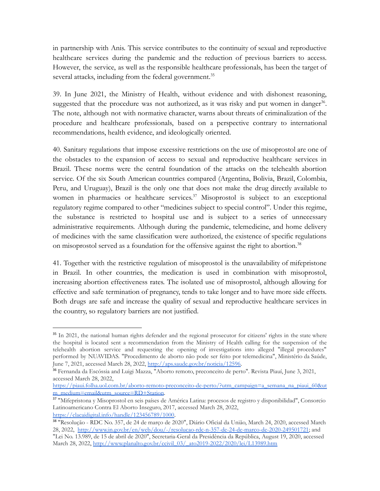in partnership with Anis. This service contributes to the continuity of sexual and reproductive healthcare services during the pandemic and the reduction of previous barriers to access. However, the service, as well as the responsible healthcare professionals, has been the target of several attacks, including from the federal government.<sup>35</sup>

39. In June 2021, the Ministry of Health, without evidence and with dishonest reasoning, suggested that the procedure was not authorized, as it was risky and put women in danger<sup>36</sup>. The note, although not with normative character, warns about threats of criminalization of the procedure and healthcare professionals, based on a perspective contrary to international recommendations, health evidence, and ideologically oriented.

40. Sanitary regulations that impose excessive restrictions on the use of misoprostol are one of the obstacles to the expansion of access to sexual and reproductive healthcare services in Brazil. These norms were the central foundation of the attacks on the telehealth abortion service. Of the six South American countries compared (Argentina, Bolivia, Brazil, Colombia, Peru, and Uruguay), Brazil is the only one that does not make the drug directly available to women in pharmacies or healthcare services.<sup>37</sup> Misoprostol is subject to an exceptional regulatory regime compared to other "medicines subject to special control". Under this regime, the substance is restricted to hospital use and is subject to a series of unnecessary administrative requirements. Although during the pandemic, telemedicine, and home delivery of medicines with the same classification were authorized, the existence of specific regulations on misoprostol served as a foundation for the offensive against the right to abortion.<sup>38</sup>

41. Together with the restrictive regulation of misoprostol is the unavailability of mifepristone in Brazil. In other countries, the medication is used in combination with misoprostol, increasing abortion effectiveness rates. The isolated use of misoprostol, although allowing for effective and safe termination of pregnancy, tends to take longer and to have more side effects. Both drugs are safe and increase the quality of sexual and reproductive healthcare services in the country, so regulatory barriers are not justified.

<sup>&</sup>lt;sup>35</sup> In 2021, the national human rights defender and the regional prosecutor for citizens' rights in the state where the hospital is located sent a recommendation from the Ministry of Health calling for the suspension of the telehealth abortion service and requesting the opening of investigations into alleged "illegal procedures" performed by NUAVIDAS. "Procedimento de aborto não pode ser feito por telemedicina", Ministério da Saúde, June 7, 2021, accessed March 28, 2022, [http://aps.saude.gov.br/noticia/12596.](http://aps.saude.gov.br/noticia/12596)

<sup>&</sup>lt;sup>36</sup> Fernanda da Escóssia and Luigi Mazza, "Aborto remoto, preconceito de perto". Revista Piauí, June 3, 2021, accessed March 28, 2022,

[https://piaui.folha.uol.com.br/aborto-remoto-preconceito-de-perto/?utm\\_campaign=a\\_semana\\_na\\_piaui\\_60&ut](https://piaui.folha.uol.com.br/aborto-remoto-preconceito-de-perto/?utm_campaign=a_semana_na_piaui_60&utm_medium=email&utm_source=RD+Station) [m\\_medium=email&utm\\_source=RD+Station](https://piaui.folha.uol.com.br/aborto-remoto-preconceito-de-perto/?utm_campaign=a_semana_na_piaui_60&utm_medium=email&utm_source=RD+Station).

<sup>37</sup> "Mifepristona y Misoprostol en seis países de América Latina: procesos de registro y disponibilidad", Consorcio Latinoamericano Contra El Aborto Inseguro, 2017, accessed March 28, 2022, <https://clacaidigital.info/handle/123456789/1000>.

<sup>38</sup> "Resolução - RDC No. 357, de 24 de março de 2020", Diário Oficial da União, March 24, 2020, accessed March 28, 2022, [http://www.in.gov.br/en/web/dou/-/resolucao-rdc-n-357-de-24-de-marco-de-2020-249501721;](http://www.in.gov.br/en/web/dou/-/resolucao-rdc-n-357-de-24-de-marco-de-2020-249501721) and

<sup>&</sup>quot;Lei No. 13.989, de 15 de abril de 2020", Secretaria-Geral da Presidência da República, August 19, 2020, accessed March 28, 2022, [http://www.planalto.gov.br/ccivil\\_03/\\_ato2019-2022/2020/lei/L13989.htm](http://www.planalto.gov.br/ccivil_03/_ato2019-2022/2020/lei/L13989.htm)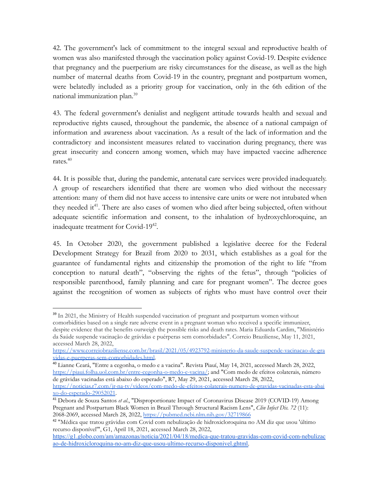42. The government's lack of commitment to the integral sexual and reproductive health of women was also manifested through the vaccination policy against Covid-19. Despite evidence that pregnancy and the puerperium are risky circumstances for the disease, as well as the high number of maternal deaths from Covid-19 in the country, pregnant and postpartum women, were belatedly included as a priority group for vaccination, only in the 6th edition of the national immunization plan.<sup>39</sup>

43. The federal government's denialist and negligent attitude towards health and sexual and reproductive rights caused, throughout the pandemic, the absence of a national campaign of information and awareness about vaccination. As a result of the lack of information and the contradictory and inconsistent measures related to vaccination during pregnancy, there was great insecurity and concern among women, which may have impacted vaccine adherence rates. 40

44. It is possible that, during the pandemic, antenatal care services were provided inadequately. A group of researchers identified that there are women who died without the necessary attention: many of them did not have access to intensive care units or were not intubated when they needed it<sup>41</sup>. There are also cases of women who died after being subjected, often without adequate scientific information and consent, to the inhalation of hydroxychloroquine, an inadequate treatment for Covid-19<sup>42</sup>.

45. In October 2020, the government published a legislative decree for the Federal Development Strategy for Brazil from 2020 to 2031, which establishes as a goal for the guarantee of fundamental rights and citizenship the promotion of the right to life "from conception to natural death", "observing the rights of the fetus", through "policies of responsible parenthood, family planning and care for pregnant women". The decree goes against the recognition of women as subjects of rights who must have control over their

<sup>40</sup> Lianne Ceará, "Entre a cegonha, o medo e a vacina". Revista Piauí, May 14, 2021, accessed March 28, 2022, [https://piaui.folha.uol.com.br/entre-cegonha-o-medo-e-vacina/;](https://piaui.folha.uol.com.br/entre-cegonha-o-medo-e-vacina/) and "Com medo de efeitos colaterais, número de grávidas vacinadas está abaixo do esperado", R7, May 29, 2021, accessed March 28, 2022,

<sup>&</sup>lt;sup>39</sup> In 2021, the Ministry of Health suspended vaccination of pregnant and postpartum women without comorbidities based on a single rare adverse event in a pregnant woman who received a specific immunizer,

despite evidence that the benefits outweigh the possible risks and death rates. Maria Eduarda Cardim, "Ministério da Saúde suspende vacinação de grávidas e puérperas sem comorbidades". Correio Braziliense, May 11, 2021, accessed March 28, 2022,

[https://www.correiobraziliense.com.br/brasil/2021/05/4923792-ministerio-da-saude-suspende-vacinacao-de-gra](https://www.correiobraziliense.com.br/brasil/2021/05/4923792-ministerio-da-saude-suspende-vacinacao-de-gravidas-e-puerperas-sem-comorbidades.html) [vidas-e-puerperas-sem-comorbidades.html](https://www.correiobraziliense.com.br/brasil/2021/05/4923792-ministerio-da-saude-suspende-vacinacao-de-gravidas-e-puerperas-sem-comorbidades.html).

[https://noticias.r7.com/jr-na-tv/videos/com-medo-de-efeitos-colaterais-numero-de-gravidas-vacinadas-esta-abai](https://noticias.r7.com/jr-na-tv/videos/com-medo-de-efeitos-colaterais-numero-de-gravidas-vacinadas-esta-abaixo-do-esperado-29052021) [xo-do-esperado-29052021](https://noticias.r7.com/jr-na-tv/videos/com-medo-de-efeitos-colaterais-numero-de-gravidas-vacinadas-esta-abaixo-do-esperado-29052021).

<sup>41</sup> Debora de Souza Santos *et al*., "Disproportionate Impact of Coronavirus Disease 2019 (COVID-19) Among Pregnant and Postpartum Black Women in Brazil Through Structural Racism Lens", *Clin Infect Dis. 72* (11): 2068-2069, accessed March 28, 2022, [https://pubmed.ncbi.nlm.nih.gov/32719866](https://pubmed.ncbi.nlm.nih.gov/32719866/)

<sup>42</sup> "Médica que tratou grávidas com Covid com nebulização de hidroxicloroquina no AM diz que usou 'último recurso disponível'", G1, April 18, 2021, accessed March 28, 2022,

[https://g1.globo.com/am/amazonas/noticia/2021/04/18/medica-que-tratou-gravidas-com-covid-com-nebulizac](https://g1.globo.com/am/amazonas/noticia/2021/04/18/medica-que-tratou-gravidas-com-covid-com-nebulizacao-de-hidroxicloroquina-no-am-diz-que-usou-ultimo-recurso-disponivel.ghtml) [ao-de-hidroxicloroquina-no-am-diz-que-usou-ultimo-recurso-disponivel.ghtml.](https://g1.globo.com/am/amazonas/noticia/2021/04/18/medica-que-tratou-gravidas-com-covid-com-nebulizacao-de-hidroxicloroquina-no-am-diz-que-usou-ultimo-recurso-disponivel.ghtml)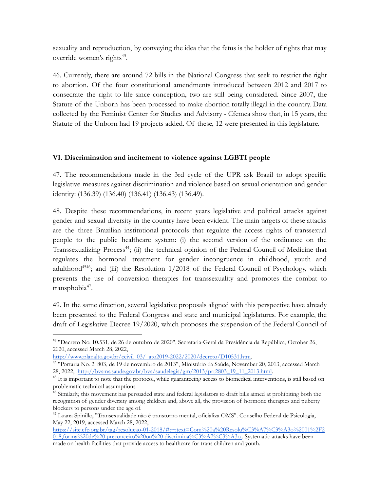sexuality and reproduction, by conveying the idea that the fetus is the holder of rights that may override women's rights<sup>43</sup>.

46. Currently, there are around 72 bills in the National Congress that seek to restrict the right to abortion. Of the four constitutional amendments introduced between 2012 and 2017 to consecrate the right to life since conception, two are still being considered. Since 2007, the Statute of the Unborn has been processed to make abortion totally illegal in the country. Data collected by the Feminist Center for Studies and Advisory - Cfemea show that, in 15 years, the Statute of the Unborn had 19 projects added. Of these, 12 were presented in this legislature.

### **VI. Discrimination and incitement to violence against LGBTI people**

47. The recommendations made in the 3rd cycle of the UPR ask Brazil to adopt specific legislative measures against discrimination and violence based on sexual orientation and gender identity: (136.39) (136.40) (136.41) (136.43) (136.49).

48. Despite these recommendations, in recent years legislative and political attacks against gender and sexual diversity in the country have been evident. The main targets of these attacks are the three Brazilian institutional protocols that regulate the access rights of transsexual people to the public healthcare system: (i) the second version of the ordinance on the Transsexualizing Process<sup>44</sup>; (ii) the technical opinion of the Federal Council of Medicine that regulates the hormonal treatment for gender incongruence in childhood, youth and adulthood<sup>4546</sup>; and (iii) the Resolution 1/2018 of the Federal Council of Psychology, which prevents the use of conversion therapies for transsexuality and promotes the combat to transphobia<sup>47</sup>.

49. In the same direction, several legislative proposals aligned with this perspective have already been presented to the Federal Congress and state and municipal legislatures. For example, the draft of Legislative Decree 19/2020, which proposes the suspension of the Federal Council of

<sup>43</sup> "Decreto No. 10.531, de 26 de outubro de 2020", Secretaria-Geral da Presidência da República, October 26, 2020, accessed March 28, 2022,

[http://www.planalto.gov.br/ccivil\\_03/\\_ato2019-2022/2020/decreto/D10531.htm](http://www.planalto.gov.br/ccivil_03/_ato2019-2022/2020/decreto/D10531.htm).

<sup>44</sup> "Portaria No. 2. 803, de 19 de novembro de 2013", Ministério da Saúde, November 20, 2013, accessed March 28, 2022, [http://bvsms.saude.gov.br/bvs/saudelegis/gm/2013/prt2803\\_19\\_11\\_2013.html](http://bvsms.saude.gov.br/bvs/saudelegis/gm/2013/prt2803_19_11_2013.html).

<sup>&</sup>lt;sup>45</sup> It is important to note that the protocol, while guaranteeing access to biomedical interventions, is still based on problematic technical assumptions.

<sup>&</sup>lt;sup>46</sup> Similarly, this movement has persuaded state and federal legislators to draft bills aimed at prohibiting both the recognition of gender diversity among children and, above all, the provision of hormone therapies and puberty blockers to persons under the age of.

<sup>47</sup> Luana Spinillo, "Transexualidade não é transtorno mental, oficializa OMS". Conselho Federal de Psicologia, May 22, 2019, accessed March 28, 2022,

[https://site.cfp.org.br/tag/resolucao-01-2018/#:~:text=Com%20a%20Resolu%C3%A7%C3%A3o%2001%2F2](https://site.cfp.org.br/tag/resolucao-01-2018/#:~:text=Com%20a%20Resolu%C3%A7%C3%A3o%2001%2F2018,forma%20de%20preconceito%20ou%20discrimina%C3%A7%C3%A3o) 018,forma%20de%20 preconceito%20ou%20 [discrimina%C3%A7%C3%A3o..](https://site.cfp.org.br/tag/resolucao-01-2018/#:~:text=Com%20a%20Resolu%C3%A7%C3%A3o%2001%2F2018,forma%20de%20preconceito%20ou%20discrimina%C3%A7%C3%A3o) Systematic attacks have been made on health facilities that provide access to healthcare for trans children and youth.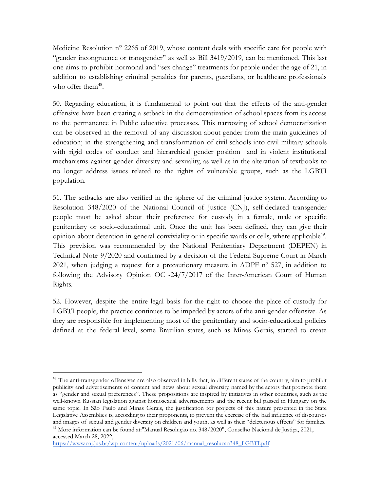Medicine Resolution n° 2265 of 2019, whose content deals with specific care for people with "gender incongruence or transgender" as well as Bill 3419/2019, can be mentioned. This last one aims to prohibit hormonal and "sex change" treatments for people under the age of 21, in addition to establishing criminal penalties for parents, guardians, or healthcare professionals who offer them<sup>48</sup>.

50. Regarding education, it is fundamental to point out that the effects of the anti-gender offensive have been creating a setback in the democratization of school spaces from its access to the permanence in Public educative processes. This narrowing of school democratization can be observed in the removal of any discussion about gender from the main guidelines of education; in the strengthening and transformation of civil schools into civil-military schools with rigid codes of conduct and hierarchical gender position and in violent institutional mechanisms against gender diversity and sexuality, as well as in the alteration of textbooks to no longer address issues related to the rights of vulnerable groups, such as the LGBTI population.

51. The setbacks are also verified in the sphere of the criminal justice system. According to Resolution 348/2020 of the National Council of Justice (CNJ), self-declared transgender people must be asked about their preference for custody in a female, male or specific penitentiary or socio-educational unit. Once the unit has been defined, they can give their opinion about detention in general conviviality or in specific wards or cells, where applicable<sup>49</sup>. This prevision was recommended by the National Penitentiary Department (DEPEN) in Technical Note 9/2020 and confirmed by a decision of the Federal Supreme Court in March 2021, when judging a request for a precautionary measure in ADPF  $n^{\circ}$  527, in addition to following the Advisory Opinion OC -24/7/2017 of the Inter-American Court of Human Rights.

52. However, despite the entire legal basis for the right to choose the place of custody for LGBTI people, the practice continues to be impeded by actors of the anti-gender offensive. As they are responsible for implementing most of the penitentiary and socio-educational policies defined at the federal level, some Brazilian states, such as Minas Gerais, started to create

<sup>49</sup> More information can be found at:"Manual Resolução no. 348/2020", Conselho Nacional de Justiça, 2021, <sup>48</sup> The anti-transgender offensives are also observed in bills that, in different states of the country, aim to prohibit publicity and advertisements of content and news about sexual diversity, named by the actors that promote them as "gender and sexual preferences". These propositions are inspired by initiatives in other countries, such as the well-known Russian legislation against homosexual advertisements and the recent bill passed in Hungary on the same topic. In São Paulo and Minas Gerais, the justification for projects of this nature presented in the State Legislative Assemblies is, according to their proponents, to prevent the exercise of the bad influence of discourses and images of sexual and gender diversity on children and youth, as well as their "deleterious effects" for families.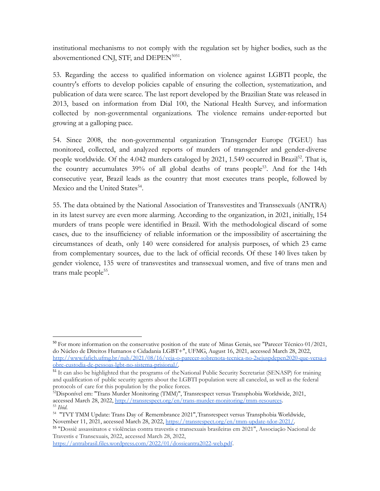institutional mechanisms to not comply with the regulation set by higher bodies, such as the abovementioned CNJ, STF, and  $DEPEN<sup>5051</sup>$ .

53. Regarding the access to qualified information on violence against LGBTI people, the country's efforts to develop policies capable of ensuring the collection, systematization, and publication of data were scarce. The last report developed by the Brazilian State was released in 2013, based on information from Dial 100, the National Health Survey, and information collected by non-governmental organizations. The violence remains under-reported but growing at a galloping pace.

54. Since 2008, the non-governmental organization Transgender Europe (TGEU) has monitored, collected, and analyzed reports of murders of transgender and gender-diverse people worldwide. Of the 4.042 murders cataloged by 2021, 1.549 occurred in Brazil<sup>52</sup>. That is, the country accumulates 39% of all global deaths of trans people<sup>53</sup>. And for the 14th consecutive year, Brazil leads as the country that most executes trans people, followed by Mexico and the United States<sup>54</sup>.

55. The data obtained by the National Association of Transvestites and Transsexuals (ANTRA) in its latest survey are even more alarming. According to the organization, in 2021, initially, 154 murders of trans people were identified in Brazil. With the methodological discard of some cases, due to the insufficiency of reliable information or the impossibility of ascertaining the circumstances of death, only 140 were considered for analysis purposes, of which 23 came from complementary sources, due to the lack of official records. Of these 140 lives taken by gender violence, 135 were of transvestites and transsexual women, and five of trans men and trans male people<sup>55</sup>.

 $50$  For more information on the conservative position of the state of Minas Gerais, see "Parecer Técnico 01/2021, do Núcleo de Direitos Humanos e Cidadania LGBT+", UFMG, August 16, 2021, accessed March 28, 2022, [http://www.fafich.ufmg.br/nuh/2021/08/16/veja-o-parecer-sobrenota-tecnica-no-2sejuspdepen2020-que-versa-s](http://www.fafich.ufmg.br/nuh/2021/08/16/veja-o-parecer-sobrenota-tecnica-no-2sejuspdepen2020-que-versa-sobre-custodia-de-pessoas-lgbt-no-sistema-prisional/) [obre-custodia-de-pessoas-lgbt-no-sistema-prisional/.](http://www.fafich.ufmg.br/nuh/2021/08/16/veja-o-parecer-sobrenota-tecnica-no-2sejuspdepen2020-que-versa-sobre-custodia-de-pessoas-lgbt-no-sistema-prisional/)

<sup>&</sup>lt;sup>51</sup> It can also be highlighted that the programs of the National Public Security Secretariat (SENASP) for training and qualification of public security agents about the LGBTI population were all canceled, as well as the federal protocols of care for this population by the police forces.

<sup>53</sup> *Ibid*. <sup>52</sup>Disponível em: "Trans Murder Monitoring (TMM)", Transrespect versus Transphobia Worldwide, 2021, accessed March 28, 2022, <http://transrespect.org/en/trans-murder-monitoring/tmm-resources>.

<sup>54</sup> "TVT TMM Update: Trans Day of Remembrance 2021",Transrespect versus Transphobia Worldwide, November 11, 2021, accessed March 28, 2022, [https://transrespect.org/en/tmm-update-tdor-2021/.](https://transrespect.org/en/tmm-update-tdor-2021/)

<sup>55</sup> "Dossiê assassinatos e violências contra travestis e transexuais brasileiras em 2021", Associação Nacional de Travestis e Transexuais, 2022, accessed March 28, 2022,

<https://antrabrasil.files.wordpress.com/2022/01/dossieantra2022-web.pdf>.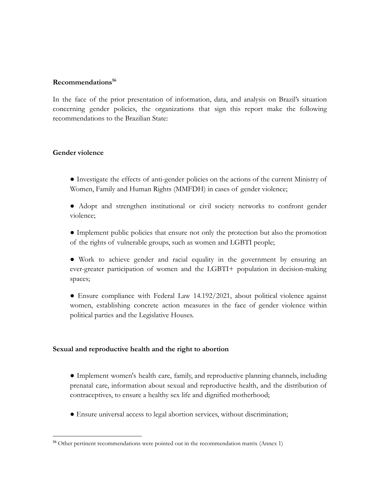#### **Recommendations<sup>56</sup>**

In the face of the prior presentation of information, data, and analysis on Brazil's situation concerning gender policies, the organizations that sign this report make the following recommendations to the Brazilian State:

#### **Gender violence**

- Investigate the effects of anti-gender policies on the actions of the current Ministry of Women, Family and Human Rights (MMFDH) in cases of gender violence;
- Adopt and strengthen institutional or civil society networks to confront gender violence;
- Implement public policies that ensure not only the protection but also the promotion of the rights of vulnerable groups, such as women and LGBTI people;
- Work to achieve gender and racial equality in the government by ensuring an ever-greater participation of women and the LGBTI+ population in decision-making spaces;
- Ensure compliance with Federal Law 14.192/2021, about political violence against women, establishing concrete action measures in the face of gender violence within political parties and the Legislative Houses.

#### **Sexual and reproductive health and the right to abortion**

- Implement women's health care, family, and reproductive planning channels, including prenatal care, information about sexual and reproductive health, and the distribution of contraceptives, to ensure a healthy sex life and dignified motherhood;
- Ensure universal access to legal abortion services, without discrimination;

<sup>&</sup>lt;sup>56</sup> Other pertinent recommendations were pointed out in the recommendation matrix (Annex 1)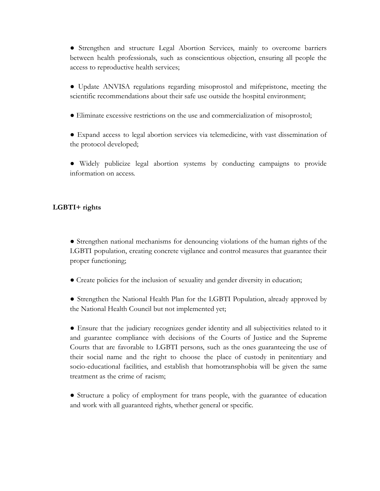● Strengthen and structure Legal Abortion Services, mainly to overcome barriers between health professionals, such as conscientious objection, ensuring all people the access to reproductive health services;

- Update ANVISA regulations regarding misoprostol and mifepristone, meeting the scientific recommendations about their safe use outside the hospital environment;
- Eliminate excessive restrictions on the use and commercialization of misoprostol;
- Expand access to legal abortion services via telemedicine, with vast dissemination of the protocol developed;
- Widely publicize legal abortion systems by conducting campaigns to provide information on access.

### **LGBTI+ rights**

● Strengthen national mechanisms for denouncing violations of the human rights of the LGBTI population, creating concrete vigilance and control measures that guarantee their proper functioning;

- Create policies for the inclusion of sexuality and gender diversity in education;
- Strengthen the National Health Plan for the LGBTI Population, already approved by the National Health Council but not implemented yet;

● Ensure that the judiciary recognizes gender identity and all subjectivities related to it and guarantee compliance with decisions of the Courts of Justice and the Supreme Courts that are favorable to LGBTI persons, such as the ones guaranteeing the use of their social name and the right to choose the place of custody in penitentiary and socio-educational facilities, and establish that homotransphobia will be given the same treatment as the crime of racism;

● Structure a policy of employment for trans people, with the guarantee of education and work with all guaranteed rights, whether general or specific.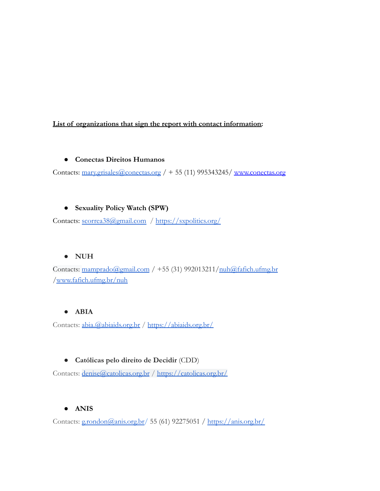## **List of organizations that sign the report with contact information:**

### **● Conectas Direitos Humanos**

Contacts: [mary.grisales@conectas.org](mailto:mary.grisales@conectas.org) / + 55 (11) 995343245/ [www.conectas.org](http://www.conectas.org)

# **● Sexuality Policy Watch (SPW)**

Contacts: [scorrea38@gmail.com](mailto:scorrea38@gmail.com) / <https://sxpolitics.org/>

# **● NUH**

Contacts:  $\frac{\text{mamprado}(\text{Qgmail.com}}{\text{mamp todo}}$  +55 (31) 992013211/ $\frac{\text{muh}(\text{Qfafich.ufmg.br}}{\text{mamp do}}$ [/www.fafich.ufmg.br/nuh](http://www.fafich.ufmg.br/nuh)

# **● ABIA**

Contacts: [abia.@abiaids.org.br](mailto:abia.@abiaids.org.br) / <https://abiaids.org.br/>

# ● **Católicas pelo direito de Decidir** (CDD)

Contacts: [denise@catolicas.org.br](mailto:denise@catolicas.org.br) / <https://catolicas.org.br/>

# **● ANIS**

Contacts: [g.rondon@anis.org.br/](mailto:g.rondon@anis.org.br) 55 (61) 92275051 / <https://anis.org.br/>